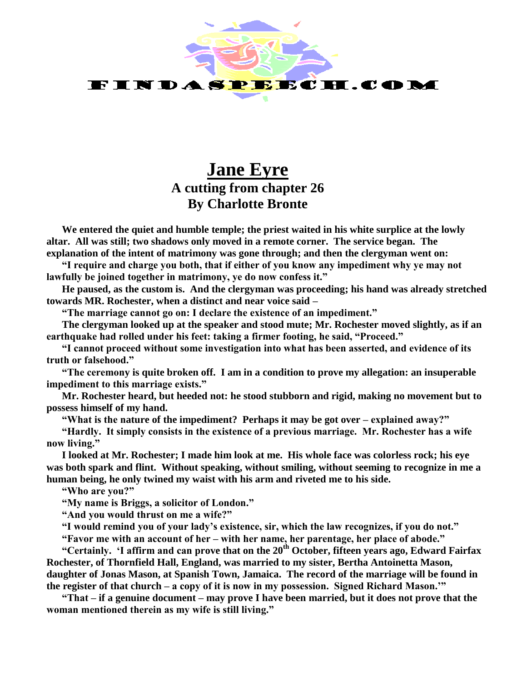

## **Jane Eyre A cutting from chapter 26 By Charlotte Bronte**

**We entered the quiet and humble temple; the priest waited in his white surplice at the lowly altar. All was still; two shadows only moved in a remote corner. The service began. The explanation of the intent of matrimony was gone through; and then the clergyman went on:**

**"I require and charge you both, that if either of you know any impediment why ye may not lawfully be joined together in matrimony, ye do now confess it."**

**He paused, as the custom is. And the clergyman was proceeding; his hand was already stretched towards MR. Rochester, when a distinct and near voice said –**

**"The marriage cannot go on: I declare the existence of an impediment."**

**The clergyman looked up at the speaker and stood mute; Mr. Rochester moved slightly, as if an earthquake had rolled under his feet: taking a firmer footing, he said, "Proceed."**

**"I cannot proceed without some investigation into what has been asserted, and evidence of its truth or falsehood."**

**"The ceremony is quite broken off. I am in a condition to prove my allegation: an insuperable impediment to this marriage exists."**

**Mr. Rochester heard, but heeded not: he stood stubborn and rigid, making no movement but to possess himself of my hand.**

**"What is the nature of the impediment? Perhaps it may be got over – explained away?"** 

**"Hardly. It simply consists in the existence of a previous marriage. Mr. Rochester has a wife now living."**

**I looked at Mr. Rochester; I made him look at me. His whole face was colorless rock; his eye was both spark and flint. Without speaking, without smiling, without seeming to recognize in me a human being, he only twined my waist with his arm and riveted me to his side.**

**"Who are you?"**

**"My name is Briggs, a solicitor of London."**

**"And you would thrust on me a wife?"**

**"I would remind you of your lady's existence, sir, which the law recognizes, if you do not."**

**"Favor me with an account of her – with her name, her parentage, her place of abode."**

**"Certainly. 'I affirm and can prove that on the 20th October, fifteen years ago, Edward Fairfax Rochester, of Thornfield Hall, England, was married to my sister, Bertha Antoinetta Mason, daughter of Jonas Mason, at Spanish Town, Jamaica. The record of the marriage will be found in the register of that church – a copy of it is now in my possession. Signed Richard Mason.'"**

**"That – if a genuine document – may prove I have been married, but it does not prove that the woman mentioned therein as my wife is still living."**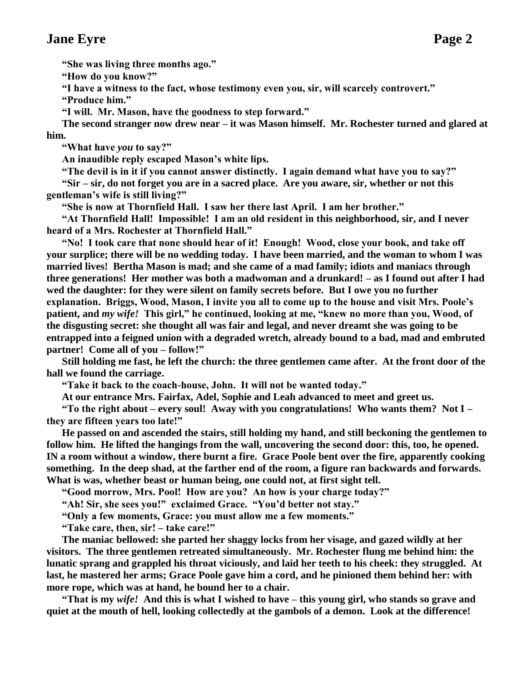## **Jane Eyre Page 2**

**"She was living three months ago."**

**"How do you know?"**

**"I have a witness to the fact, whose testimony even you, sir, will scarcely controvert."**

**"Produce him."**

**"I will. Mr. Mason, have the goodness to step forward."**

**The second stranger now drew near – it was Mason himself. Mr. Rochester turned and glared at him.**

**"What have** *you* **to say?"**

**An inaudible reply escaped Mason's white lips.**

**"The devil is in it if you cannot answer distinctly. I again demand what have you to say?" "Sir – sir, do not forget you are in a sacred place. Are you aware, sir, whether or not this gentleman's wife is still living?"**

**"She is now at Thornfield Hall. I saw her there last April. I am her brother."**

**"At Thornfield Hall! Impossible! I am an old resident in this neighborhood, sir, and I never heard of a Mrs. Rochester at Thornfield Hall."**

**"No! I took care that none should hear of it! Enough! Wood, close your book, and take off your surplice; there will be no wedding today. I have been married, and the woman to whom I was married lives! Bertha Mason is mad; and she came of a mad family; idiots and maniacs through three generations! Her mother was both a madwoman and a drunkard! – as I found out after I had wed the daughter: for they were silent on family secrets before. But I owe you no further explanation. Briggs, Wood, Mason, I invite you all to come up to the house and visit Mrs. Poole's patient, and** *my wife!* **This girl," he continued, looking at me, "knew no more than you, Wood, of the disgusting secret: she thought all was fair and legal, and never dreamt she was going to be entrapped into a feigned union with a degraded wretch, already bound to a bad, mad and embruted partner!** Come all of you – **follow!**"

**Still holding me fast, he left the church: the three gentlemen came after. At the front door of the hall we found the carriage.**

**"Take it back to the coach-house, John. It will not be wanted today."**

**At our entrance Mrs. Fairfax, Adel, Sophie and Leah advanced to meet and greet us.**

**"To the right about – every soul! Away with you congratulations! Who wants them? Not I – they are fifteen years too late!"**

**He passed on and ascended the stairs, still holding my hand, and still beckoning the gentlemen to follow him. He lifted the hangings from the wall, uncovering the second door: this, too, he opened. IN a room without a window, there burnt a fire. Grace Poole bent over the fire, apparently cooking something. In the deep shad, at the farther end of the room, a figure ran backwards and forwards. What is was, whether beast or human being, one could not, at first sight tell.**

**"Good morrow, Mrs. Pool! How are you? An how is your charge today?"**

**"Ah! Sir, she sees you!" exclaimed Grace. "You'd better not stay."**

**"Only a few moments, Grace: you must allow me a few moments."**

**"Take care, then, sir! – take care!"**

**The maniac bellowed: she parted her shaggy locks from her visage, and gazed wildly at her visitors. The three gentlemen retreated simultaneously. Mr. Rochester flung me behind him: the lunatic sprang and grappled his throat viciously, and laid her teeth to his cheek: they struggled. At last, he mastered her arms; Grace Poole gave him a cord, and he pinioned them behind her: with more rope, which was at hand, he bound her to a chair.**

**"That is my** *wife!* **And this is what I wished to have – this young girl, who stands so grave and quiet at the mouth of hell, looking collectedly at the gambols of a demon. Look at the difference!**